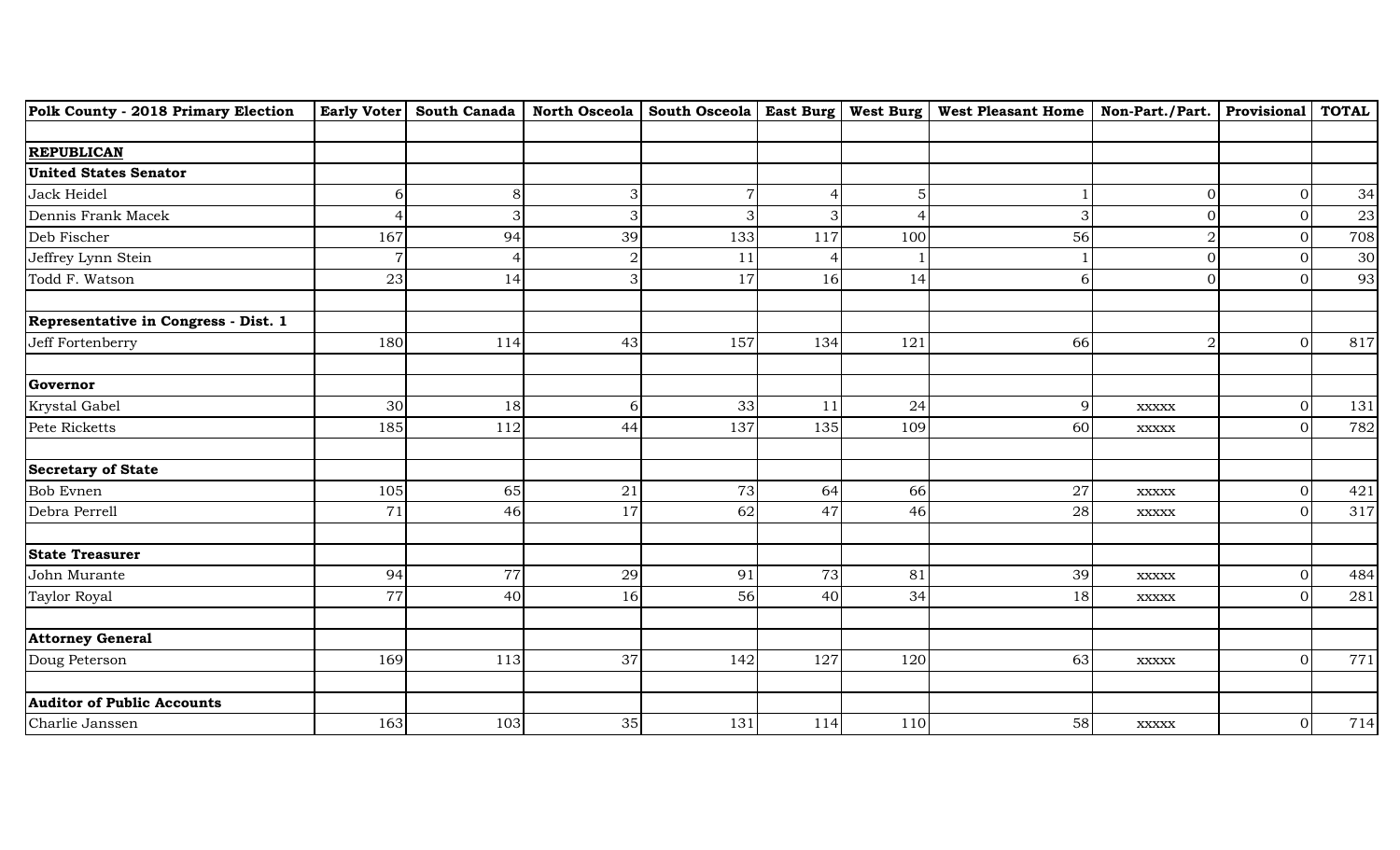| Polk County - 2018 Primary Election  |     |     |                |     |                |     | $\mid$ Early Voter $\mid$ South Canada $\mid$ North Osceola $\mid$ South Osceola $\mid$ East Burg $\mid$ West Burg $\mid$ West Pleasant Home $\mid$ Non-Part./Part. $\mid$ Provisional $\mid$ TOTAL |                |                  |     |
|--------------------------------------|-----|-----|----------------|-----|----------------|-----|-----------------------------------------------------------------------------------------------------------------------------------------------------------------------------------------------------|----------------|------------------|-----|
|                                      |     |     |                |     |                |     |                                                                                                                                                                                                     |                |                  |     |
| <b>REPUBLICAN</b>                    |     |     |                |     |                |     |                                                                                                                                                                                                     |                |                  |     |
| <b>United States Senator</b>         |     |     |                |     |                |     |                                                                                                                                                                                                     |                |                  |     |
| Jack Heidel                          | 6   | 8   | 3 <sup>1</sup> |     | 4              | 5   |                                                                                                                                                                                                     | 01             | $\mathbf{0}$     | 34  |
| Dennis Frank Macek                   | 4   |     |                |     | 3              |     | 3                                                                                                                                                                                                   |                |                  | 23  |
| Deb Fischer                          | 167 | 94  | 39             | 133 | 117            | 100 | 56                                                                                                                                                                                                  | 2              | $\Omega$         | 708 |
| Jeffrey Lynn Stein                   | 7   |     |                | 11  | $\overline{4}$ |     |                                                                                                                                                                                                     | 01             | $\Omega$         | 30  |
| Todd F. Watson                       | 23  | 14  | 3              | 17  | 16             | 14  | 6                                                                                                                                                                                                   | ΩI             | $\Omega$         | 93  |
| Representative in Congress - Dist. 1 |     |     |                |     |                |     |                                                                                                                                                                                                     |                |                  |     |
| Jeff Fortenberry                     | 180 | 114 | 43             | 157 | 134            | 121 | 66                                                                                                                                                                                                  | $\overline{2}$ | $\Omega$         | 817 |
| Governor                             |     |     |                |     |                |     |                                                                                                                                                                                                     |                |                  |     |
| Krystal Gabel                        | 30  | 18  | 6              | 33  | 11             | 24  | $\overline{9}$                                                                                                                                                                                      | <b>XXXXX</b>   | $\overline{0}$   | 131 |
| Pete Ricketts                        | 185 | 112 | 44             | 137 | 135            | 109 | 60                                                                                                                                                                                                  | $\bold{XXXXX}$ | $\Omega$         | 782 |
| <b>Secretary of State</b>            |     |     |                |     |                |     |                                                                                                                                                                                                     |                |                  |     |
| <b>Bob Evnen</b>                     | 105 | 65  | 21             | 73  | 64             | 66  | $27\,$                                                                                                                                                                                              | $\bold{XXXXX}$ | $\overline{0}$   | 421 |
| Debra Perrell                        | 71  | 46  | 17             | 62  | 47             | 46  | 28                                                                                                                                                                                                  | $\bold{XXXXX}$ | $\Omega$         | 317 |
| <b>State Treasurer</b>               |     |     |                |     |                |     |                                                                                                                                                                                                     |                |                  |     |
| John Murante                         | 94  | 77  | 29             | 91  | 73             | 81  | 39                                                                                                                                                                                                  | $\bold{XXXXX}$ | $\Omega$         | 484 |
| Taylor Royal                         | 77  | 40  | 16             | 56  | 40             | 34  | 18                                                                                                                                                                                                  | <b>XXXXX</b>   | ∩                | 281 |
| <b>Attorney General</b>              |     |     |                |     |                |     |                                                                                                                                                                                                     |                |                  |     |
| Doug Peterson                        | 169 | 113 | 37             | 142 | 127            | 120 | 63                                                                                                                                                                                                  | $\bold{XXXXX}$ | $\mathbf 0$      | 771 |
| <b>Auditor of Public Accounts</b>    |     |     |                |     |                |     |                                                                                                                                                                                                     |                |                  |     |
| Charlie Janssen                      | 163 | 103 | 35             | 131 | 114            | 110 | 58                                                                                                                                                                                                  | <b>XXXXX</b>   | $\boldsymbol{0}$ | 714 |
|                                      |     |     |                |     |                |     |                                                                                                                                                                                                     |                |                  |     |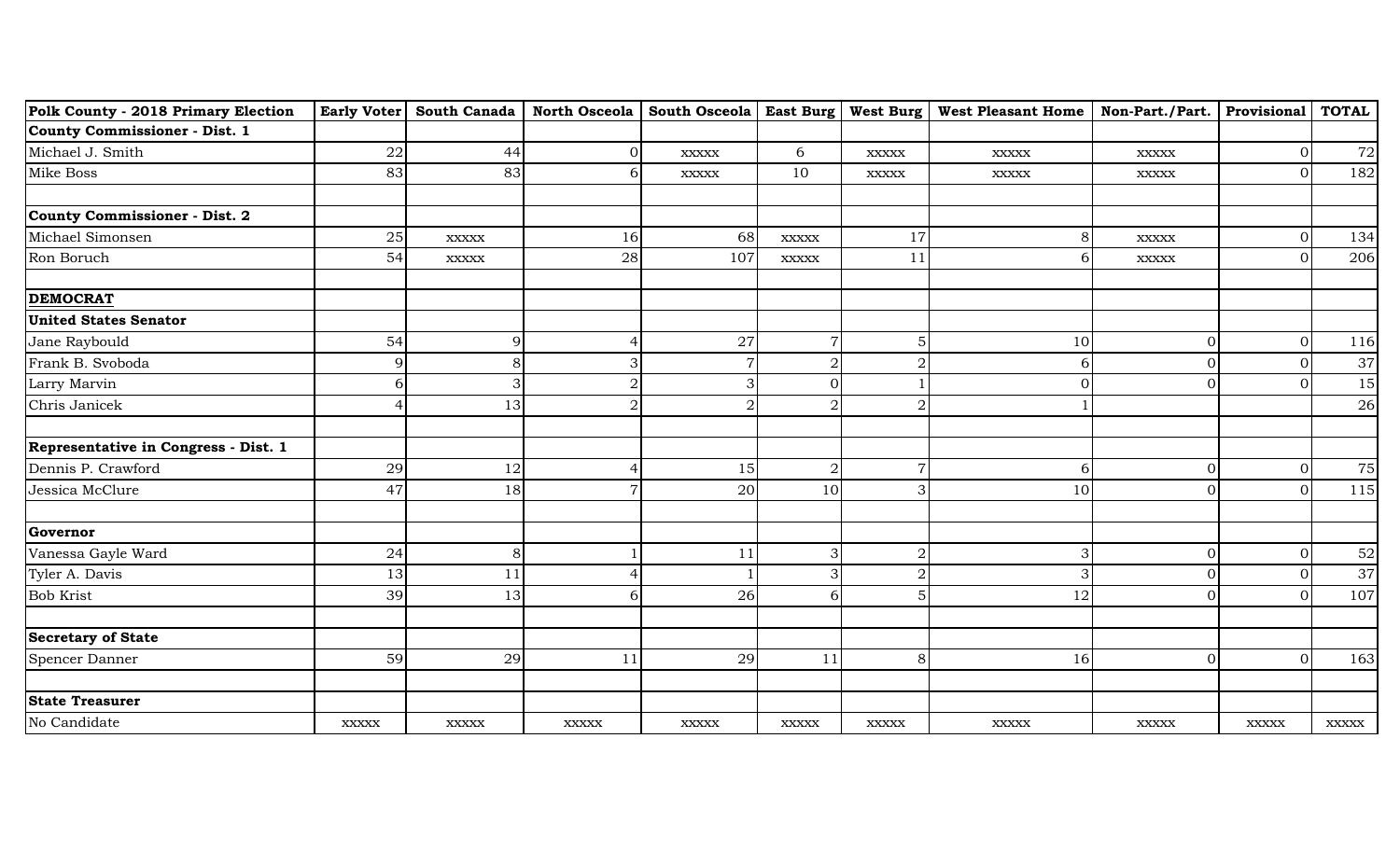| Polk County - 2018 Primary Election  |                |                |              |                |                |                | Early Voter   South Canada   North Osceola   South Osceola   East Burg   West Burg   West Pleasant Home   Non-Part./Part.   Provisional |                |                | <b>TOTAL</b> |
|--------------------------------------|----------------|----------------|--------------|----------------|----------------|----------------|-----------------------------------------------------------------------------------------------------------------------------------------|----------------|----------------|--------------|
| <b>County Commissioner - Dist. 1</b> |                |                |              |                |                |                |                                                                                                                                         |                |                |              |
| Michael J. Smith                     | ${\bf 22}$     | 44             | $\Omega$     | <b>XXXXX</b>   | 6              | $\bold{XXXXX}$ | <b>XXXXX</b>                                                                                                                            | <b>XXXXX</b>   | $\Omega$       | 72           |
| Mike Boss                            | 83             | 83             | 6            | $\bold{XXXXX}$ | 10             | XXXXX          | <b>XXXXX</b>                                                                                                                            | $\bold{XXXXX}$ | $\Omega$       | 182          |
|                                      |                |                |              |                |                |                |                                                                                                                                         |                |                |              |
| <b>County Commissioner - Dist. 2</b> |                |                |              |                |                |                |                                                                                                                                         |                |                |              |
| Michael Simonsen                     | 25             | <b>XXXXX</b>   | 16           | 68             | <b>XXXXX</b>   | 17             | 8 <sup>1</sup>                                                                                                                          | <b>XXXXX</b>   |                | 134          |
| Ron Boruch                           | 54             | $\bold{XXXXX}$ | 28           | 107            | $\bold{XXXXX}$ | 11             | 6                                                                                                                                       | <b>XXXXX</b>   | $\Omega$       | 206          |
| <b>DEMOCRAT</b>                      |                |                |              |                |                |                |                                                                                                                                         |                |                |              |
| <b>United States Senator</b>         |                |                |              |                |                |                |                                                                                                                                         |                |                |              |
| Jane Raybould                        | 54             | 9              |              | 27             | $\overline{7}$ | 5              | 10                                                                                                                                      | 0              | $\overline{0}$ | 116          |
| Frank B. Svoboda                     | $\overline{9}$ | 8              |              |                | $\sqrt{2}$     | $\overline{2}$ | $6\overline{6}$                                                                                                                         | 0              | $\Omega$       | 37           |
| Larry Marvin                         | 6              | 3              |              | 3              | $\Omega$       |                | $\Omega$                                                                                                                                | $\Omega$       |                | 15           |
| Chris Janicek                        | $\overline{4}$ | 13             |              | $\overline{2}$ | $\overline{2}$ | $\overline{2}$ |                                                                                                                                         |                |                | 26           |
| Representative in Congress - Dist. 1 |                |                |              |                |                |                |                                                                                                                                         |                |                |              |
| Dennis P. Crawford                   | 29             | 12             |              | 15             | $\sqrt{2}$     |                | 6                                                                                                                                       | 0              | $\Omega$       | 75           |
| Jessica McClure                      | 47             | 18             | 7            | 20             | 10             | 3              | 10                                                                                                                                      | ΩI             | $\Omega$       | 115          |
| Governor                             |                |                |              |                |                |                |                                                                                                                                         |                |                |              |
| Vanessa Gayle Ward                   | 24             | 8              |              | 11             | 3              |                | 3                                                                                                                                       | $\Omega$       | $\Omega$       | 52           |
| Tyler A. Davis                       | 13             | 11             |              |                | 3              | $\mathcal{D}$  | $\overline{3}$                                                                                                                          | $\Omega$       |                | 37           |
| Bob Krist                            | 39             | 13             | h            | 26             | 6              | 5              | 12                                                                                                                                      | ΩI             | $\Omega$       | 107          |
|                                      |                |                |              |                |                |                |                                                                                                                                         |                |                |              |
| <b>Secretary of State</b>            |                |                |              |                |                |                |                                                                                                                                         |                |                |              |
| Spencer Danner                       | 59             | 29             | 11           | 29             | 11             | 8              | 16                                                                                                                                      | $\overline{0}$ | $\mathbf{0}$   | 163          |
| <b>State Treasurer</b>               |                |                |              |                |                |                |                                                                                                                                         |                |                |              |
| No Candidate                         | <b>XXXXX</b>   | $\bold{XXXXX}$ | <b>XXXXX</b> | <b>XXXXX</b>   | <b>XXXXX</b>   | <b>XXXXX</b>   | <b>XXXXX</b>                                                                                                                            | <b>XXXXX</b>   | <b>XXXXX</b>   | <b>XXXXX</b> |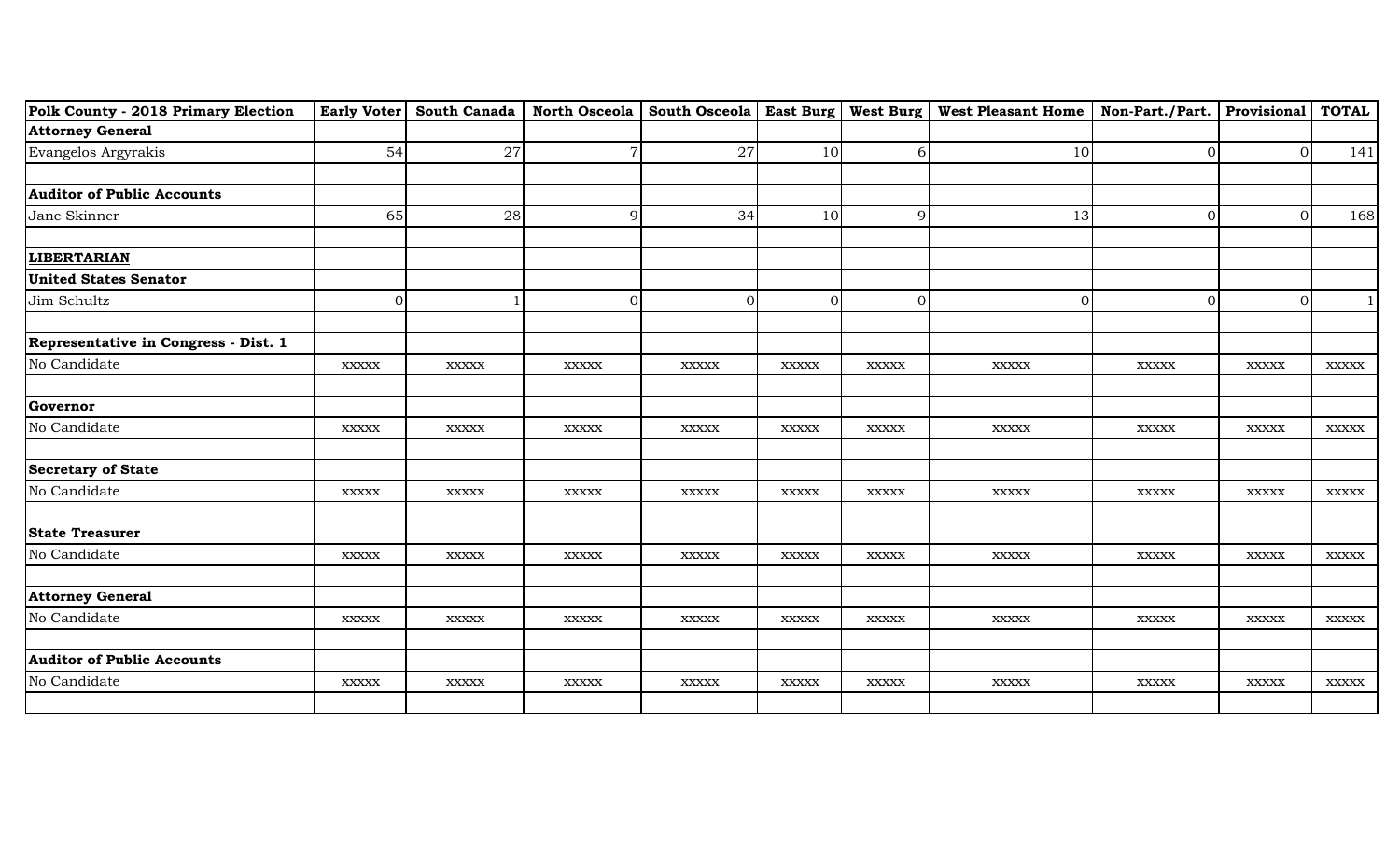| Polk County - 2018 Primary Election  |                |                |                |                |              |              | Early Voter   South Canada   North Osceola   South Osceola   East Burg   West Burg   West Pleasant Home   Non-Part./Part.   Provisional |                |                | <b>TOTAL</b> |
|--------------------------------------|----------------|----------------|----------------|----------------|--------------|--------------|-----------------------------------------------------------------------------------------------------------------------------------------|----------------|----------------|--------------|
| <b>Attorney General</b>              |                |                |                |                |              |              |                                                                                                                                         |                |                |              |
| Evangelos Argyrakis                  | 54             | 27             | $\overline{7}$ | 27             | 10           | 6            | 10 <sup>1</sup>                                                                                                                         | $\overline{0}$ | $\overline{0}$ | 141          |
|                                      |                |                |                |                |              |              |                                                                                                                                         |                |                |              |
| <b>Auditor of Public Accounts</b>    |                |                |                |                |              |              |                                                                                                                                         |                |                |              |
| Jane Skinner                         | 65             | 28             | $\overline{9}$ | 34             | 10           | 9            | 13                                                                                                                                      | $\overline{0}$ | $\mathbf 0$    | 168          |
|                                      |                |                |                |                |              |              |                                                                                                                                         |                |                |              |
| <b>LIBERTARIAN</b>                   |                |                |                |                |              |              |                                                                                                                                         |                |                |              |
| <b>United States Senator</b>         |                |                |                |                |              |              |                                                                                                                                         |                |                |              |
| Jim Schultz                          | $\overline{O}$ |                | $\Omega$       | $\Omega$       | $\mathbf{0}$ | $\Omega$     | $\Omega$                                                                                                                                | $\overline{0}$ | $\mathbf{0}$   |              |
|                                      |                |                |                |                |              |              |                                                                                                                                         |                |                |              |
| Representative in Congress - Dist. 1 |                |                |                |                |              |              |                                                                                                                                         |                |                |              |
| No Candidate                         | <b>XXXXX</b>   | $\bold{XXXXX}$ | <b>XXXXX</b>   | $\bold{XXXXX}$ | <b>XXXXX</b> | <b>XXXXX</b> | <b>XXXXX</b>                                                                                                                            | <b>XXXXX</b>   | <b>XXXXX</b>   | <b>XXXXX</b> |
|                                      |                |                |                |                |              |              |                                                                                                                                         |                |                |              |
| Governor                             |                |                |                |                |              |              |                                                                                                                                         |                |                |              |
| No Candidate                         | <b>XXXXX</b>   | <b>XXXXX</b>   | <b>XXXXX</b>   | <b>XXXXX</b>   | <b>XXXXX</b> | <b>XXXXX</b> | <b>XXXXX</b>                                                                                                                            | <b>XXXXX</b>   | <b>XXXXX</b>   | <b>XXXXX</b> |
|                                      |                |                |                |                |              |              |                                                                                                                                         |                |                |              |
| <b>Secretary of State</b>            |                |                |                |                |              |              |                                                                                                                                         |                |                |              |
| No Candidate                         | <b>XXXXX</b>   | $\bold{XXXXX}$ | <b>XXXXX</b>   | $\bold{XXXXX}$ | <b>XXXXX</b> | <b>XXXXX</b> | <b>XXXXX</b>                                                                                                                            | <b>XXXXX</b>   | <b>XXXXX</b>   | <b>XXXXX</b> |
|                                      |                |                |                |                |              |              |                                                                                                                                         |                |                |              |
| <b>State Treasurer</b>               |                |                |                |                |              |              |                                                                                                                                         |                |                |              |
| No Candidate                         | <b>XXXXX</b>   | <b>XXXXX</b>   | <b>XXXXX</b>   | <b>XXXXX</b>   | <b>XXXXX</b> | <b>XXXXX</b> | <b>XXXXX</b>                                                                                                                            | <b>XXXXX</b>   | <b>XXXXX</b>   | <b>XXXXX</b> |
|                                      |                |                |                |                |              |              |                                                                                                                                         |                |                |              |
| <b>Attorney General</b>              |                |                |                |                |              |              |                                                                                                                                         |                |                |              |
| No Candidate                         | <b>XXXXX</b>   | <b>XXXXX</b>   | <b>XXXXX</b>   | <b>XXXXX</b>   | <b>XXXXX</b> | <b>XXXXX</b> | <b>XXXXX</b>                                                                                                                            | <b>XXXXX</b>   | <b>XXXXX</b>   | <b>XXXXX</b> |
|                                      |                |                |                |                |              |              |                                                                                                                                         |                |                |              |
| <b>Auditor of Public Accounts</b>    |                |                |                |                |              |              |                                                                                                                                         |                |                |              |
| No Candidate                         | <b>XXXXX</b>   | <b>XXXXX</b>   | <b>XXXXX</b>   | <b>XXXXX</b>   | <b>XXXXX</b> | <b>XXXXX</b> | <b>XXXXX</b>                                                                                                                            | <b>XXXXX</b>   | <b>XXXXX</b>   | <b>XXXXX</b> |
|                                      |                |                |                |                |              |              |                                                                                                                                         |                |                |              |